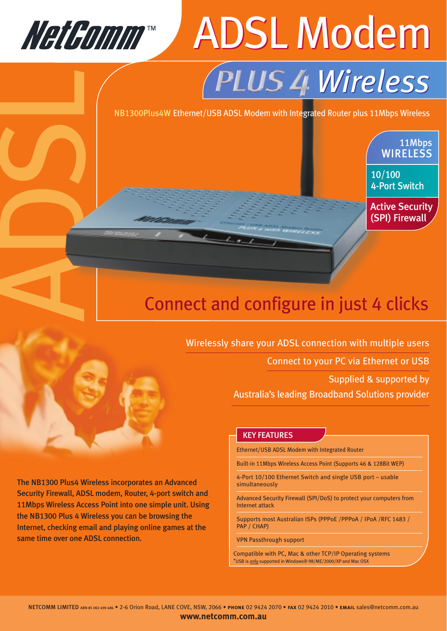

ADSL

## CD2004 ADSL Modem *Wireless Wireless*

NB1300Plus4W Ethernet/USB ADSL Modem with Integrated Router plus 11Mbps Wireless

### Connect and configure in just 4 clicks

Wirelessly share your ADSL connection with multiple users

Connect to your PC via Ethernet or USB

Supplied & supported by

11Mbps **WIRELESS** 

10/100

4-Port Switch

Active Security (SPI) Firewall

Australia's leading Broadband Solutions provider

#### KEY FEATURES

Ethernet/USB ADSL Modem with Integrated Router

Built-in 11Mbps Wireless Access Point (Supports 46 & 128Bit WEP)

4-Port 10/100 Ethernet Switch and single USB port – usable simultaneously

Advanced Security Firewall (SPI/DoS) to protect your computers from Internet attack

Supports most Australian ISPs (PPPoE /PPPoA / IPoA /RFC 1483 / PAP / CHAP)

VPN Passthrough support

Compatible with PC, Mac & other TCP/IP Operating systems \*USB is only supported in Windows® 98/ME/2000/XP and Mac OSX

The NB1300 Plus4 Wireless incorporates an Advanced Security Firewall, ADSL modem, Router, 4-port switch and 11Mbps Wireless Access Point into one simple unit. Using the NB1300 Plus 4 Wireless you can be browsing the Internet, checking email and playing online games at the same time over one ADSL connection.

**www.netcomm.com.au**